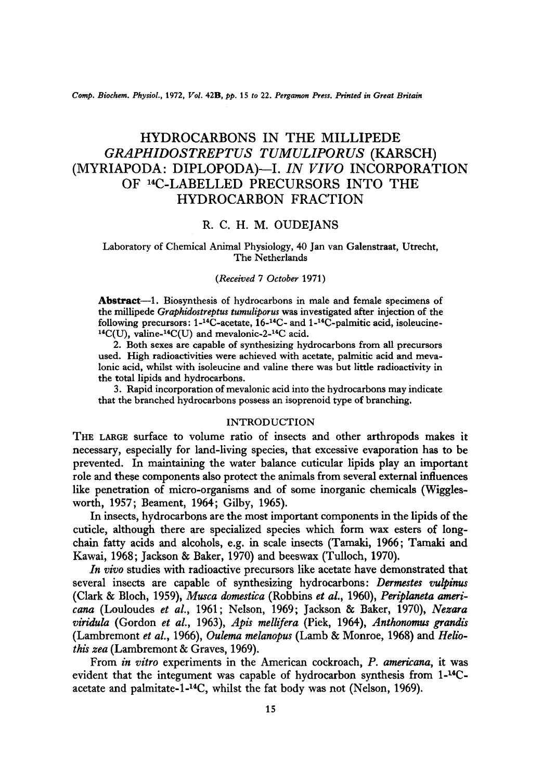*Comp. Biochem. Physiol.,* 1972, *Vol.* 42B, *pp.* 15 *to* 22. *Pergamon Press. Printed in Great Britain* 

# HYDROCARBONS IN THE MILLIPEDE *GRAPHIDOSTREPTUS TUMULIPORUS* (KARSCH) (MYRIAPODA: DIPLOPODA)--I. *IN VIVO* INCORPORATION OF 14C-LABELLED PRECURSORS INTO THE HYDROCARBON FRACTION

# R. C. H. M. OUDEJANS

# Laboratory of Chemical Animal Physiology, 40 Jan van Galenstraat, Utrecht, The Netherlands

#### *(Received 7 October* 1971)

Abstract--1. Biosynthesis of hydrocarbons in male and female specimens of the millipede *Graphidostreptus tumuliporus* was investigated after injection of the following precursors:  $1-14C$ -acetate,  $16-14C$ - and  $1-14C$ -palmitic acid, isoleucine- $14C(U)$ , valine- $14C(U)$  and mevalonic-2- $14C$  acid.

2. Both sexes are capable of synthesizing hydrocarbons from all precursors used. High radioactivities were achieved with acetate, palmitic acid and meva-Ionic acid, whilst with isoleucine and valine there was but little radioactivity in the total lipids and hydrocarbons.

3. Rapid incorporation of mevalonic acid into the hydrocarbons may indicate that the branched hydrocarbons possess an isoprenoid type of branching.

### INTRODUCTION

THE LARGE surface to volume ratio of insects and other arthropods makes it necessary, especially for land-living species, that excessive evaporation has to be prevented. In maintaining the water balance cuticular lipids play an important role and these components also protect the animals from several external influences like penetration of micro-organisms and of some inorganic chemicals (Wigglesworth, 1957; Beament, 1964; Gilby, 1965).

In insects, hydrocarbons are the most important components in the lipids of the cuticle, although there are specialized species which form wax esters of longchain fatty acids and alcohols, e.g. in scale insects (Tamaki, 1966; Tamaki and Kawai, 1968; Jackson & Baker, 1970) and beeswax (Tulloch, 1970).

*In vivo* studies with radioactive precursors like acetate have demonstrated that several insects are capable of synthesizing hydrocarbons: *Dermestes vulpinus*  (Clark & Bloch, 1959), *Musca domestica* (Robbins *et al.,* 1960), *Periplaneta americana* (Louloudes *et al.,* 1961; Nelson, 1969; Jackson & Baker, 1970), *Nezara viridula* (Gordon *et al.,* 1963), *Apis mellifera* (Pick, 1964), *.4nthonomus grandis*  (Lambremont *et al.,* 1966), *Oulema melanopus* (Lamb & Monroe, 1968) and *Hellothis zea* (Lambremont & Graves, 1969).

From *in vitro* experiments in the American cockroach, *P. americana,* it was evident that the integument was capable of hydrocarbon synthesis from  $1-14C$ acetate and palmitate-l-14C, whilst the fat body was not (Nelson, 1969).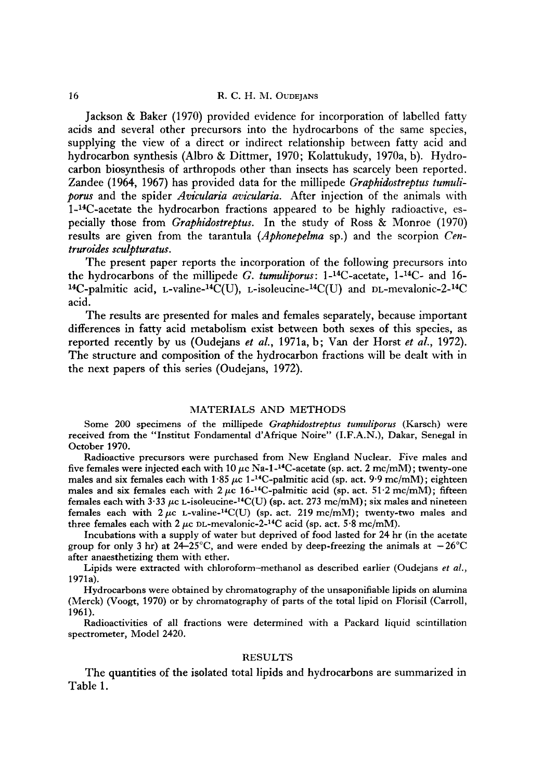Jackson & Baker (1970) provided evidence for incorporation of labelled fatty acids and several other precursors into the hydrocarbons of the same species, supplying the view of a direct or indirect relationship between fatty acid and hydrocarbon synthesis (Albro & Dittmer, 1970; Kolattukudy, 1970a, b). Hydrocarbon biosynthesis of arthropods other than insects has scarcely been reported. Zandee (1964, 1967) has provided data for the millipede *Graphidostreptus tumuliporus* and the spider *Avicularia avicularia.* After injection of the animals with 1-14C-acetate the hydrocarbon fractions appeared to be highly radioactive, especially those from *Graphidostreptus.* In the study of Ross & Monroe (1970) results are given from the tarantula *(Aphonepelma* sp.) and the scorpion *Centruroides sculpturatus.* 

The present paper reports the incorporation of the following precursors into the hydrocarbons of the millipede *G. tumuliporus*:  $1$ -<sup>14</sup>C-acetate,  $1$ -<sup>14</sup>C- and 16-<sup>14</sup>C-palmitic acid, L-valine-<sup>14</sup>C(U), L-isoleucine-<sup>14</sup>C(U) and DL-mevalonic-2-<sup>14</sup>C acid.

The results are presented for males and females separately, because important differences in fatty acid metabolism exist between both sexes of this species, as reported recently by us (Oudejans *et al.,* 1971a, b; Van der Horst *et al.,* 1972). The structure and composition of the hydrocarbon fractions will be dealt with in the next papers of this series (Oudejans, 1972).

#### MATERIALS AND METHODS

Some 200 specimens of the millipede *Graphidostreptus tumuliporus* (Karsch) were received from the "Institut Fondamental d'Afrique Noire" (I.F.A.N.), Dakar, Senegal in October 1970.

Radioactive precursors were purchased from New England Nuclear. Five males and five females were injected each with 10  $\mu$ c Na-1-<sup>14</sup>C-acetate (sp. act. 2 mc/mM); twenty-one males and six females each with 1.85  $\mu$ c 1<sup>-14</sup>C-palmitic acid (sp. act. 9.9 mc/mM); eighteen males and six females each with  $2 \mu c$  16-<sup>14</sup>C-palmitic acid (sp. act. 51.2 mc/mM); fifteen females each with 3.33  $\mu$ c L-isoleucine-<sup>14</sup>C(U) (sp. act. 273 mc/mM); six males and nineteen females each with  $2 \mu c$  L-valine-<sup>14</sup>C(U) (sp. act. 219 mc/mM); twenty-two males and three females each with 2  $\mu$ c DL-mevalonic-2-<sup>14</sup>C acid (sp. act. 5.8 mc/mM).

Incubations with a supply of water but deprived of food lasted for 24 hr (in the acetate group for only 3 hr) at  $24-25^{\circ}$ C, and were ended by deep-freezing the animals at  $-26^{\circ}$ C after anaesthetizing them with ether.

Lipids were extracted with chloroform-methanol as described earlier (Oudejans *et al.,*  1971a).

Hydrocarbons were obtained by chromatography of the unsaponifiable lipids on alumina (Merck) (Voogt, 1970) or by chromatography of parts of the total lipid on Florisil (Carroll, 1961).

Radioactivities of all fractions were determined with a Packard liquid scintillation spectrometer, Model 2420.

# RESULTS

The quantities of the isolated total lipids and hydrocarbons are summarized in Table 1.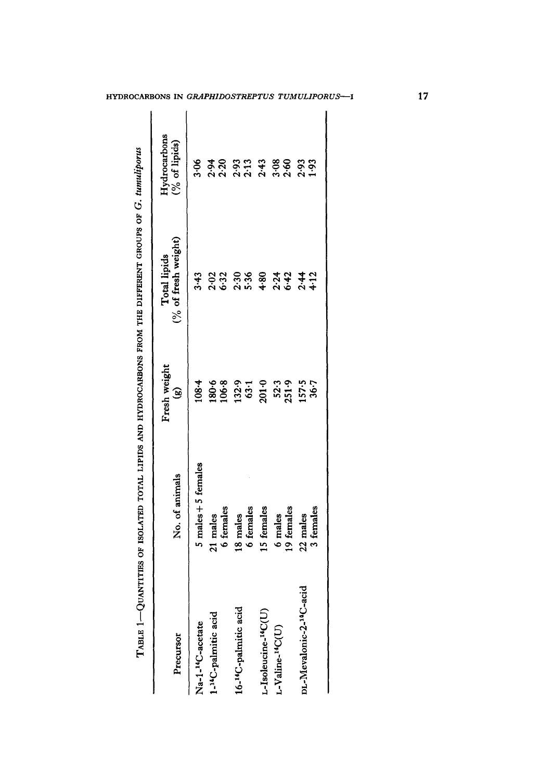| Precursor                                | No. of animals      | Fresh weight<br>G  | (% of fresh weight)<br>Total lipids | $Hydroarbons(\%0 of lipids)$ |
|------------------------------------------|---------------------|--------------------|-------------------------------------|------------------------------|
| Na-1- <sup>14</sup> C-acetate            | 5 males + 5 females | 108.4              | 3.43                                | 3.06                         |
| 1- <sup>14</sup> C-palmitic acid         | 21 males            |                    |                                     | 2.94                         |
|                                          | 6 females           | 180.8<br>106.8     | 2.32                                | 2.20                         |
| 16- <sup>14</sup> C-palmitic acid        | 18 males            |                    |                                     | 2.93<br>2.13                 |
|                                          | 6 females           | $\frac{1329}{631}$ | 2.36                                |                              |
| $-Isoleucine-14C(U)$                     | 15 females          | 201.0              | 4.80                                | 2.43                         |
| L-Valine- <sup>14</sup> C(U)             | 6 males             |                    |                                     | 3.60                         |
|                                          | 19 females          | 52.3<br>251.9      | $2.34$<br>6.42                      |                              |
| acid<br>DL-Mevalonic-2- <sup>14</sup> C- | 22 males            | 157.5              | $2.41$<br>4.12                      | 2.93<br>1.93                 |
|                                          | 3 females           | 36.7               |                                     |                              |

17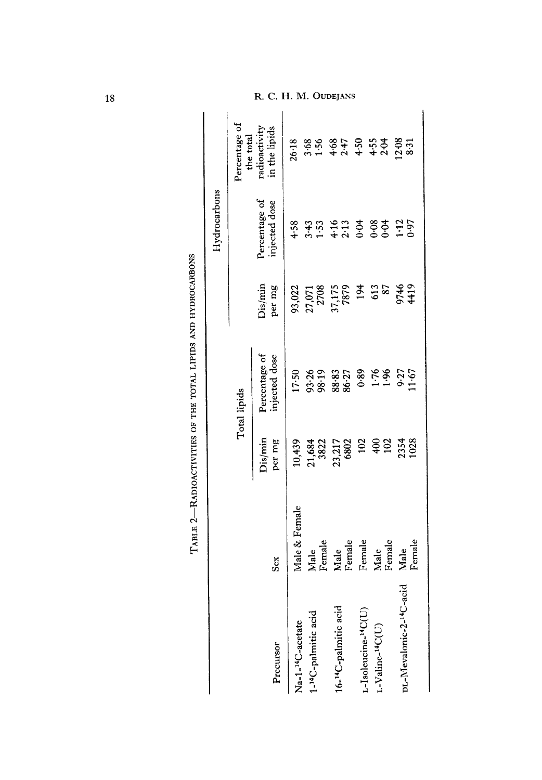|                                      |                |                                                |                                                                                                                                                                                                                                                                                |                                             | Hydrocarbons                                                           |                                                                                                                                                                                                                                |
|--------------------------------------|----------------|------------------------------------------------|--------------------------------------------------------------------------------------------------------------------------------------------------------------------------------------------------------------------------------------------------------------------------------|---------------------------------------------|------------------------------------------------------------------------|--------------------------------------------------------------------------------------------------------------------------------------------------------------------------------------------------------------------------------|
|                                      |                |                                                | Total lipids                                                                                                                                                                                                                                                                   |                                             |                                                                        | Percentage of<br>the total                                                                                                                                                                                                     |
| Precursor                            | Sex            | Dis/min<br>per mg                              | Percentage of<br>njected dose                                                                                                                                                                                                                                                  | Dis/min<br>per mg                           | Percentage of<br>injected dose                                         | in the lipids<br>radioactivit                                                                                                                                                                                                  |
| Na-1- <sup>14</sup> C-acetate        | Male & Female  | 10,439                                         | 17.50                                                                                                                                                                                                                                                                          |                                             | 4.58                                                                   |                                                                                                                                                                                                                                |
|                                      |                |                                                |                                                                                                                                                                                                                                                                                |                                             |                                                                        |                                                                                                                                                                                                                                |
| 1- <sup>14</sup> C-palmitic acid     | Male<br>Female |                                                |                                                                                                                                                                                                                                                                                | 93,022<br>27,071<br>27,08<br>37,175<br>7879 |                                                                        |                                                                                                                                                                                                                                |
|                                      |                |                                                |                                                                                                                                                                                                                                                                                |                                             |                                                                        |                                                                                                                                                                                                                                |
| 16- <sup>14</sup> C-palmitic acid    | Male<br>Female |                                                |                                                                                                                                                                                                                                                                                |                                             |                                                                        |                                                                                                                                                                                                                                |
| L-Isoleucine- <sup>14</sup> C(U)     | Female         | 21,684<br>3822<br>23,217<br>6802<br>102<br>102 | $93.36$<br>$98.35$<br>$98.35$<br>$98.35$<br>$98.35$<br>$98.35$<br>$98.35$<br>$98.35$<br>$98.35$<br>$98.35$<br>$98.35$<br>$98.35$<br>$98.35$<br>$98.35$<br>$98.35$<br>$98.35$<br>$98.35$<br>$98.35$<br>$98.35$<br>$98.35$<br>$98.35$<br>$98.35$<br>$98.35$<br>$98.35$<br>$98.3$ | 194<br>613<br>87                            | $3.43$<br>$1.53$ $0.53$<br>$1.43$ $0.63$<br>$0.53$<br>$0.53$<br>$0.55$ | $x_6$ : $x_8$ $x_9$ $x_9$ $x_9$ $x_9$ $x_9$ $x_9$ $x_9$ $x_9$ $x_9$ $x_9$ $x_9$ $x_9$ $x_9$ $x_9$ $x_9$ $x_9$ $x_9$ $x_9$ $x_9$ $x_9$ $x_9$ $x_9$ $x_9$ $x_9$ $x_9$ $x_9$ $x_9$ $x_9$ $x_9$ $x_9$ $x_9$ $x_9$ $x_9$ $x_9$ $x_$ |
| L-Valine- <sup>14</sup> C(U)         |                |                                                |                                                                                                                                                                                                                                                                                |                                             |                                                                        |                                                                                                                                                                                                                                |
|                                      | Male<br>Female |                                                |                                                                                                                                                                                                                                                                                |                                             |                                                                        |                                                                                                                                                                                                                                |
| DL-Mevalonic-2- <sup>14</sup> C-acid | Male           |                                                |                                                                                                                                                                                                                                                                                | 9746<br>9479                                |                                                                        |                                                                                                                                                                                                                                |
|                                      | Female         | 2354                                           |                                                                                                                                                                                                                                                                                |                                             |                                                                        |                                                                                                                                                                                                                                |

| .<br>.<br>.<br>.                                                                                                                                                                                                                                                                                                                                                                                                                                                       |
|------------------------------------------------------------------------------------------------------------------------------------------------------------------------------------------------------------------------------------------------------------------------------------------------------------------------------------------------------------------------------------------------------------------------------------------------------------------------|
|                                                                                                                                                                                                                                                                                                                                                                                                                                                                        |
| l                                                                                                                                                                                                                                                                                                                                                                                                                                                                      |
| <b>THERE IS THE</b><br>֖֖֖֧֧֧֖֧֚֚֚֚֚֚֚֚֚֚֚֚֚֚֚֚֚֚֚֚֚֚֚֚֚֚֚֚֚֚֚֬֡֝֓֝֓֝֬֝<br>i                                                                                                                                                                                                                                                                                                                                                                                           |
| $\vdots$                                                                                                                                                                                                                                                                                                                                                                                                                                                               |
| .<br>5<br>֚֚֡֝<br>֧֚֝                                                                                                                                                                                                                                                                                                                                                                                                                                                  |
| $\label{eq:1} \begin{array}{ll} \mathcal{L}_{\mathcal{A}}(\mathbf{r},\mathbf{r}) & = & \mathcal{L}_{\mathcal{A}}(\mathbf{r},\mathbf{r}) = \mathcal{L}_{\mathcal{A}}(\mathbf{r},\mathbf{r}) = \mathcal{L}_{\mathcal{A}}(\mathbf{r},\mathbf{r}) = \mathcal{L}_{\mathcal{A}}(\mathbf{r},\mathbf{r}) = \mathcal{L}_{\mathcal{A}}(\mathbf{r},\mathbf{r}) = \mathcal{L}_{\mathcal{A}}(\mathbf{r},\mathbf{r}) = \mathcal{L}_{\mathcal{A}}(\mathbf{r},\mathbf{r}) = \mathcal{$ |
|                                                                                                                                                                                                                                                                                                                                                                                                                                                                        |
| $\mathbf{I}$<br>ļ                                                                                                                                                                                                                                                                                                                                                                                                                                                      |

18

# R. C. H. M. OUDEJANS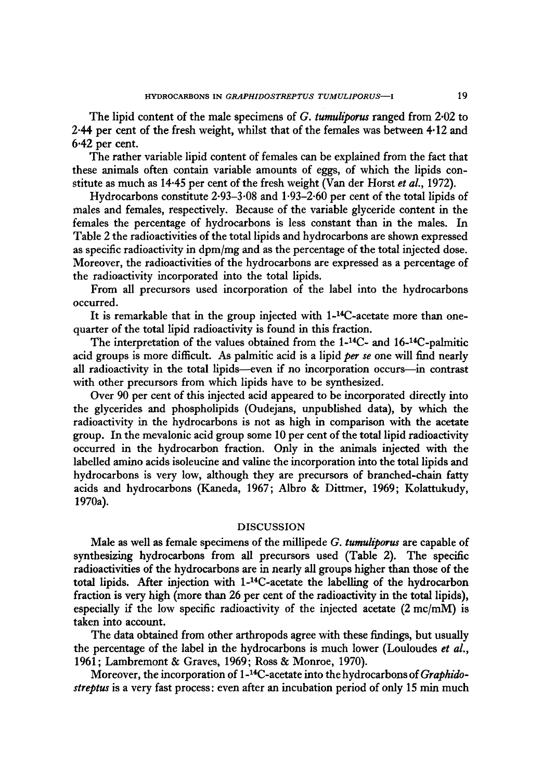The lipid content of the male specimens of *G. tumuliparus* ranged from 2.02 to 2.44 per cent of the fresh weight, whilst that of the females was between 4.12 and  $6.42$  per cent.

The rather variable lipid content of females can be explained from the fact that these animals often contain variable amounts of eggs, of which the lipids constitute as much as 14.45 per cent of the fresh weight (Van der Horstet *aL,* 1972).

Hydrocarbons constitute 2.93-3.08 and 1.93-2.50 per cent of the total lipids of males and females, respectively. Because of the variable glyceride content in the females the percentage of hydrocarbons is less constant than in the males. In Table 2 the radioactivities of the total lipids and hydrocarbons are shown expressed as specific radioactivity in dpm/mg and as the percentage of the total injected dose. Moreover, the radioactivities of the hydrocarbons are expressed as a percentage of the radioactivity incorporated into the total lipids.

From all precursors used incorporation of the label into the hydrocarbons occurred.

It is remarkable that in the group injected with 1-<sup>14</sup>C-acetate more than onequarter of the total lipid radioactivity is found in this fraction.

The interpretation of the values obtained from the 1-<sup>14</sup>C- and 16-<sup>14</sup>C-palmitic acid groups is more difficult. As palmitic acid is a lipid *per se* one will find nearly all radioactivity in the total lipids---even if no incorporation occurs---in contrast with other precursors from which lipids have to be synthesized.

Over 90 per cent of this injected acid appeared to be incorporated directly into the glycerides and phospholipids (Oudejans, unpublished data), by which the radioactivity in the hydrocarbons is not as high in comparison with the acetate group. In the mevalonic acid group some 10 per cent of the total lipid radioactivity occurred in the hydrocarbon fraction. Only in the animals injected with the labelled amino acids isoleucine and valine the incorporation into the total lipids and hydrocarbons is very low, although they are precursors of branched-chain fatty acids and hydrocarbons (Kaneda, 1967; Albro & Dittmer, 1969; Kolattukudy, 1970a).

#### DISCUSSION

Male as well as female specimens of the millipede *G. tumuliporus* are capable of synthesizing hydrocarbons from all precursors used (Table 2). The specific radioactivities of the hydrocarbons are in nearly all groups higher than those of the total lipids. After injection with 1-14C-acetate the labelling of the hydrocarbon fraction is very high (more than 26 per cent of the radioactivity in the total lipids), especially if the low specific radioactivity of the injected acetate (2 mc/mM) is taken into account.

The data obtained from other arthropods agree with these findings, but usually the percentage of the label in the hydrocarbons is much lower (Louloudes *et al.,*  1961; Lambremont & Graves, 1969; Ross & Monroe, 1970).

Moreover, the incorporation of 1-14C-acetate into the hydrocarbons of *Graphidostreptus* is a very fast process: even after an incubation period of only 15 min much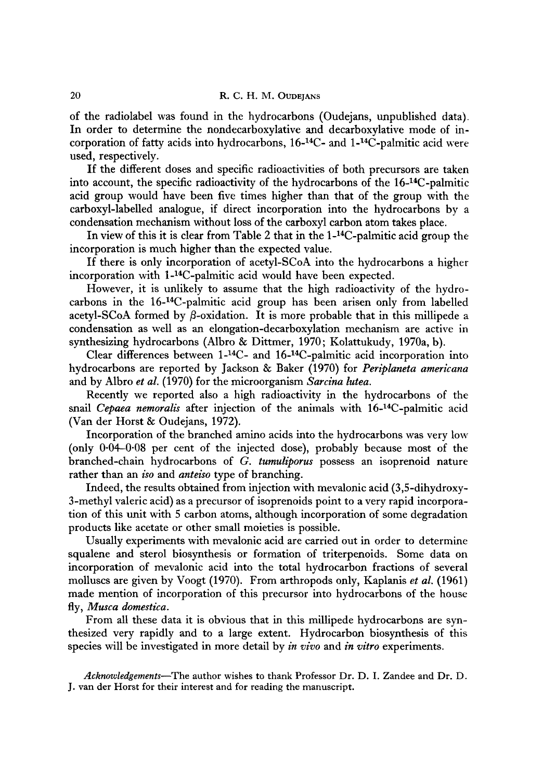of the radiolabel was found in the hydrocarbons (Oudejans, unpublished data). In order to determine the nondecarboxylative and decarboxylative mode of incorporation of fatty acids into hydrocarbons, 16-14C - and 1-14C-palmitic acid were used, respectively.

If the different doses and specific radioactivities of both precursors are taken into account, the specific radioactivity of the hydrocarbons of the  $16$ -<sup>14</sup>C-palmitic acid group would have been five times higher than that of the group with the carboxyl-labelled analogue, if direct incorporation into the hydrocarbons by a condensation mechanism without loss of the carboxyl carbon atom takes place.

In view of this it is clear from Table 2 that in the  $1-14C$ -palmitic acid group the incorporation is much higher than the expected value.

If there is only incorporation of acetyl-SCoA into the hydrocarbons a higher incorporation with 1-<sup>14</sup>C-palmitic acid would have been expected.

However, it is unlikely to assume that the high radioactivity of the hydrocarbons in the 16-14C-palmitic acid group has been arisen only from labelled acetyl-SCoA formed by  $\beta$ -oxidation. It is more probable that in this millipede a condensation as well as an elongation-decarboxylation mechanism are active in synthesizing hydrocarbons (Albro & Dittmer, 1970; Kolattukudy, 1970a, b).

Clear differences between 1-14C - and 16-14C-palmitic acid incorporation into hydrocarbons are reported by Jackson & Baker (1970) for *Periplaneta americana*  and by Albro *et al.* (1970) for the microorganism *Sarcina lutea.* 

Recently we reported also a high radioactivity in the hydrocarbons of the snail *Cepaea nemoralis* after injection of the animals with 16-<sup>14</sup>C-palmitic acid (Van der Horst & Oudejans, 1972).

Incorporation of the branched amino acids into the hydrocarbons was very low (only 0.04-0.08 per cent of the injected dose), probably because most of the branched-chain hydrocarbons of *G. tumuliporus* possess an isoprenoid nature rather than an *iso* and *anteiso* type of branching.

Indeed, the results obtained from injection with mevalonic acid (3,5-dihydroxy-3-methyl valeric acid) as a precursor of isoprenoids point to a very rapid incorporation of this unit with 5 carbon atoms, although incorporation of some degradation products like acetate or other small moieties is possible.

Usually experiments with mevalonic acid are carried out in order to determine squalene and sterol biosynthesis or formation of triterpenoids. Some data on incorporation of mevalonic acid into the total hydrocarbon fractions of several molluscs are given by Voogt (1970). From arthropods only, Kaplanis *et al.* (1961) made mention of incorporation of this precursor into hydrocarbons of the house fly, *Musca domestica.* 

From all these data it is obvious that in this millipede hydrocarbons are synthesized very rapidly and to a large extent. Hydrocarbon biosynthesis of this species will be investigated in more detail by *in vivo* and *in vitro* experiments.

*Acknowledgements--The* author wishes to thank Professor Dr. D. I. Zandee and Dr. D. J. van der Horst for their interest and for reading the manuscript.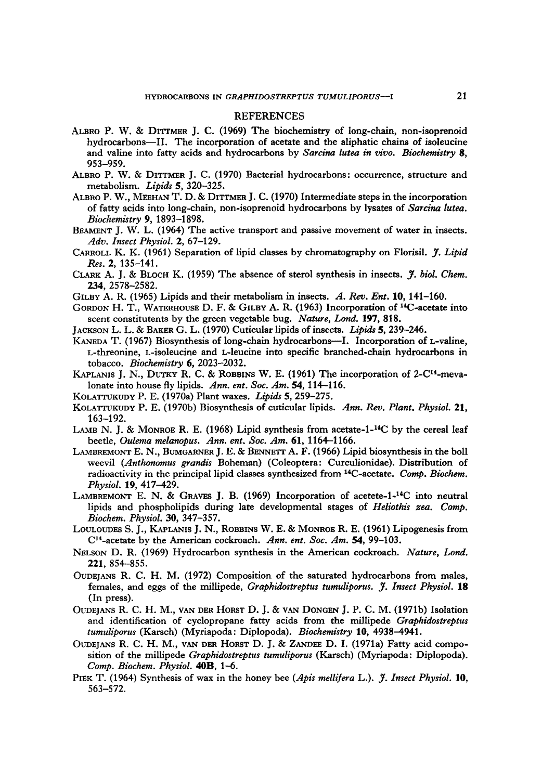#### REFERENCES

- ALBRO P. W. & DITTMER J. C. (1969) The biochemistry of long-chain, non-isoprenoid hydrocarbons--II. The incorporation of acetate and the aliphatic chains of isoleucine and valine into fatty acids and hydrocarbons by *Sarcina lutea in vivo. Biochemistry 8,*  953-959.
- ALBRO P. W. & DITTMER J. C. (1970) Bacterial hydrocarbons: occurrence, structure and metabolism. *Lipids* 5, 320-325.
- ALBRO P. W., MEEHAN T. D. & DITTMER J. C. (1970) Intermediate steps in the incorporation of fatty acids into long-chain, non-isoprenoid hydrocarbons by lysates of *Sarcina lutea. Biochemistry* 9, 1893-1898.
- BEAMENT J. W. L. (1964) The active transport and passive movement of water in insects. *Adv. Insect Physiol.* 2, 67-129.
- CARROLL K. K. (1961) Separation of lipid classes by chromatography on Florisil. *y. Lipid Res.* 2, 135-141.
- CLARK A. J. & BLOCH K. (1959) The absence of sterol synthesis in insects. *I*, *biol. Chem.* 234, 2578-2582.
- GILBY A. R. (1965) Lipids and their metabolism in insects. *A. Rev. Ent.* 10, 141-160.
- GORDON H. T., WATERHOUSE D. F. & GILBY A. R. (1963) Incorporation of <sup>14</sup>C-acetate into scent constitutents by the green vegetable bug. *Nature, Lond.* 197, 818.
- JACKSON L. L. & BAKER G. L. (1970) Cuticular lipids of insects. *Lipids* 5, 239-246.
- KANEDA T. (1967) Biosynthesis of long-chain hydrocarbons—I. Incorporation of L-valine, L-threonine, L-isoleucine and L-leucine into specific branched-chain hydrocarbons in tobacco. *Biochemistry* 6, 2023-2032.
- KAPLANIS J. N., DUTKY R. C. & ROBBINS W. E. (1961) The incorporation of 2-C<sup>14</sup>-mevalonate into house fly lipids. *Ann. ent. Soe. Am. 54,* 114-116.
- KOLATTUKUDY P. E. (1970a) Plant waxes. *Lipids* 5, 259-275.
- KOLATTUKUDY P. E. (1970b) Biosynthesis of cuticular lipids. *Ann. Rev. Plant. Physiol.* **21,**  163-192.
- LAMB N. J. & MONROE R. E. (1968) Lipid synthesis from acetate-1-<sup>14</sup>C by the cereal leaf beetle, *Oulema melanopus. Ann. ent. Soc. Am.* 61, 1164-1166.
- LAMBREMONT E. N., BUMGARNER J. E. & BENNETT A. F. (1966) Lipid biosynthesis in the boll weevil *(Anthonomus grandis* Boheman) (Coleoptera: Curculionidae). Distribution of radioactivity in the principal lipid classes synthesized from <sup>14</sup>C-acetate. *Comp. Biochem. Physiol.* 19, 417-429.
- LAMBREMONT E. N. & GRAVES J. B.  $(1969)$  Incorporation of acetete-1-<sup>14</sup>C into neutral lipids and phospholipids during late developmental stages of *Heliothis zea. Comp. Biochem. Physiol.* 30, 347-357.
- LOULOUDES S. J., KAPLANIS J. N., ROBBINS W. E. & MONROE R. E. (1961) Lipogenesis from C14-acetate by the American cockroach. *Ann. ent. Soc. Am. 54,* 99-103.
- NELSON D. R. (1969) Hydrocarbon synthesis in the American cockroach. *Nature, Lond.*  221, 854-855.
- OUDEJANS R. C. H. M. (1972) Composition of the saturated hydrocarbons from males, females, and eggs of the millipede, *Graphidostreptus tumuliporus. J. Insect Physiol.* **18** (In press).
- OUDEJANS R. C. H. M., VAN DER HORST D. J. & VAN DONGEN J. P. C. M. (1971b) Isolation and identification of cyclopropane fatty acids from the millipede *Graphidostreptus tumuliporus* (Karsch) (Myriapoda: Diplopoda). *Biochemistry* **10,** 4938-4941.
- OUDEIANS R. C. H. M., VAN DER HORST D. J. & ZANDEE D. I. (1971a) Fatty acid composition of the millipede *Graphidostreptus tumuliporus* (Karsch) (Myriapoda: Diplopoda). *Comp. Biochem. Physiol.* **40B**, 1-6.
- PIEK T. (1964) Synthesis of wax in the honey bee (Apis mellifera L.). J. Insect Physiol. 10, 563-572.